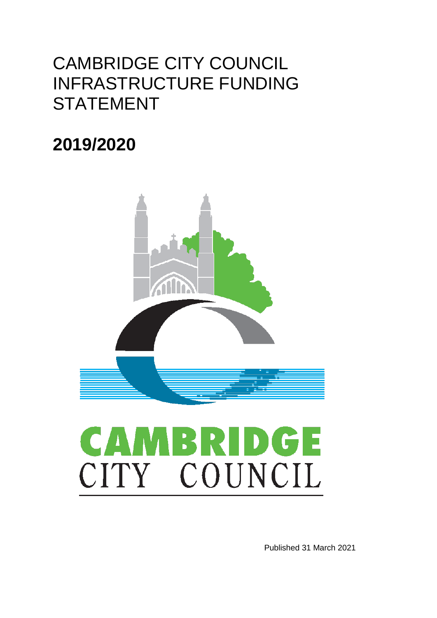## CAMBRIDGE CITY COUNCIL INFRASTRUCTURE FUNDING **STATEMENT**

## **2019/2020**



# MBRIDGE **CA** CITY COUNCIL

Published 31 March 2021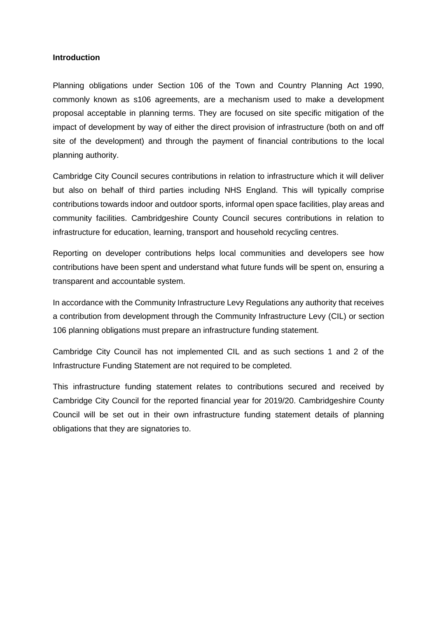#### **Introduction**

Planning obligations under Section 106 of the Town and Country Planning Act 1990, commonly known as s106 agreements, are a mechanism used to make a development proposal acceptable in planning terms. They are focused on site specific mitigation of the impact of development by way of either the direct provision of infrastructure (both on and off site of the development) and through the payment of financial contributions to the local planning authority.

Cambridge City Council secures contributions in relation to infrastructure which it will deliver but also on behalf of third parties including NHS England. This will typically comprise contributions towards indoor and outdoor sports, informal open space facilities, play areas and community facilities. Cambridgeshire County Council secures contributions in relation to infrastructure for education, learning, transport and household recycling centres.

Reporting on developer contributions helps local communities and developers see how contributions have been spent and understand what future funds will be spent on, ensuring a transparent and accountable system.

In accordance with the Community Infrastructure Levy Regulations any authority that receives a contribution from development through the Community Infrastructure Levy (CIL) or section 106 planning obligations must prepare an infrastructure funding statement.

Cambridge City Council has not implemented CIL and as such sections 1 and 2 of the Infrastructure Funding Statement are not required to be completed.

This infrastructure funding statement relates to contributions secured and received by Cambridge City Council for the reported financial year for 2019/20. Cambridgeshire County Council will be set out in their own infrastructure funding statement details of planning obligations that they are signatories to.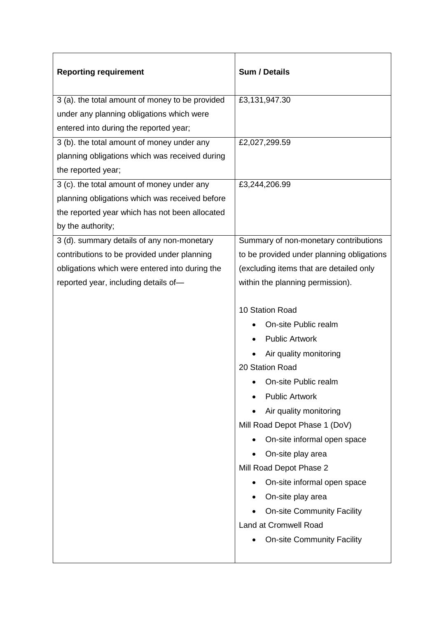| <b>Reporting requirement</b>                    | Sum / Details                             |
|-------------------------------------------------|-------------------------------------------|
| 3 (a). the total amount of money to be provided | £3,131,947.30                             |
| under any planning obligations which were       |                                           |
| entered into during the reported year;          |                                           |
| 3 (b). the total amount of money under any      | £2,027,299.59                             |
| planning obligations which was received during  |                                           |
| the reported year;                              |                                           |
| 3 (c). the total amount of money under any      | £3,244,206.99                             |
| planning obligations which was received before  |                                           |
| the reported year which has not been allocated  |                                           |
| by the authority;                               |                                           |
| 3 (d). summary details of any non-monetary      | Summary of non-monetary contributions     |
| contributions to be provided under planning     | to be provided under planning obligations |
| obligations which were entered into during the  | (excluding items that are detailed only   |
| reported year, including details of-            | within the planning permission).          |
|                                                 |                                           |
|                                                 | 10 Station Road                           |
|                                                 | On-site Public realm                      |
|                                                 | <b>Public Artwork</b>                     |
|                                                 | Air quality monitoring                    |
|                                                 | 20 Station Road                           |
|                                                 | On-site Public realm                      |
|                                                 | <b>Public Artwork</b>                     |
|                                                 | Air quality monitoring                    |
|                                                 | Mill Road Depot Phase 1 (DoV)             |
|                                                 | On-site informal open space               |
|                                                 | On-site play area                         |
|                                                 | Mill Road Depot Phase 2                   |
|                                                 | On-site informal open space               |
|                                                 | On-site play area                         |
|                                                 | <b>On-site Community Facility</b>         |
|                                                 | Land at Cromwell Road                     |
|                                                 | <b>On-site Community Facility</b>         |
|                                                 |                                           |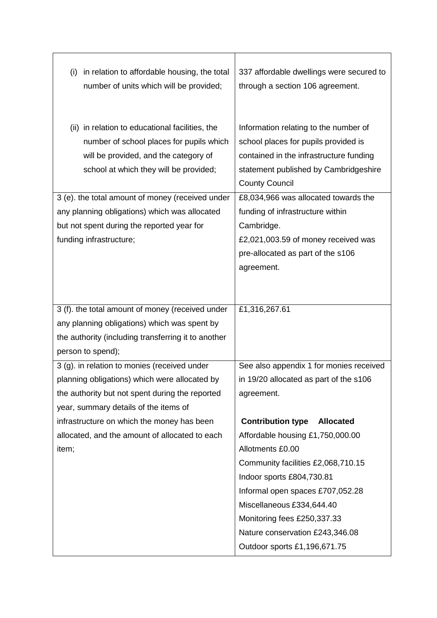| in relation to affordable housing, the total<br>(i)<br>number of units which will be provided;                                                                                                                                                                                      | 337 affordable dwellings were secured to<br>through a section 106 agreement.                                                                                                                                                                                                                                                               |
|-------------------------------------------------------------------------------------------------------------------------------------------------------------------------------------------------------------------------------------------------------------------------------------|--------------------------------------------------------------------------------------------------------------------------------------------------------------------------------------------------------------------------------------------------------------------------------------------------------------------------------------------|
| (ii) in relation to educational facilities, the<br>number of school places for pupils which<br>will be provided, and the category of<br>school at which they will be provided;<br>3 (e). the total amount of money (received under<br>any planning obligations) which was allocated | Information relating to the number of<br>school places for pupils provided is<br>contained in the infrastructure funding<br>statement published by Cambridgeshire<br><b>County Council</b><br>£8,034,966 was allocated towards the<br>funding of infrastructure within                                                                     |
| but not spent during the reported year for<br>funding infrastructure;                                                                                                                                                                                                               | Cambridge.<br>£2,021,003.59 of money received was<br>pre-allocated as part of the s106<br>agreement.                                                                                                                                                                                                                                       |
| 3 (f). the total amount of money (received under<br>any planning obligations) which was spent by<br>the authority (including transferring it to another<br>person to spend);                                                                                                        | £1,316,267.61                                                                                                                                                                                                                                                                                                                              |
| 3 (g). in relation to monies (received under<br>planning obligations) which were allocated by<br>the authority but not spent during the reported<br>year, summary details of the items of                                                                                           | See also appendix 1 for monies received<br>in 19/20 allocated as part of the s106<br>agreement.                                                                                                                                                                                                                                            |
| infrastructure on which the money has been<br>allocated, and the amount of allocated to each<br>item;                                                                                                                                                                               | <b>Contribution type</b><br><b>Allocated</b><br>Affordable housing £1,750,000.00<br>Allotments £0.00<br>Community facilities £2,068,710.15<br>Indoor sports £804,730.81<br>Informal open spaces £707,052.28<br>Miscellaneous £334,644.40<br>Monitoring fees £250,337.33<br>Nature conservation £243,346.08<br>Outdoor sports £1,196,671.75 |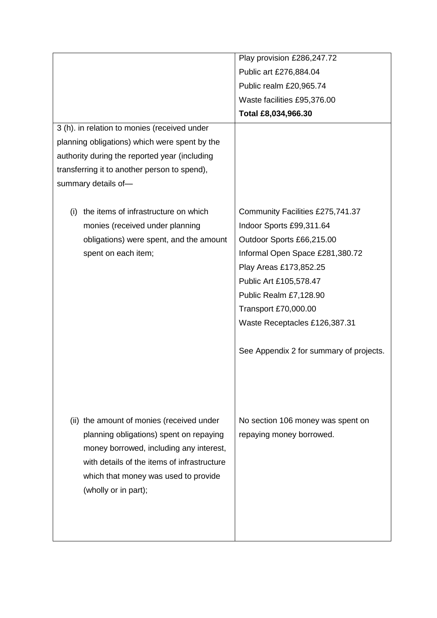|                                               | Play provision £286,247.72              |
|-----------------------------------------------|-----------------------------------------|
|                                               | Public art £276,884.04                  |
|                                               | Public realm £20,965.74                 |
|                                               | Waste facilities £95,376.00             |
|                                               | Total £8,034,966.30                     |
| 3 (h). in relation to monies (received under  |                                         |
| planning obligations) which were spent by the |                                         |
| authority during the reported year (including |                                         |
| transferring it to another person to spend),  |                                         |
| summary details of-                           |                                         |
|                                               |                                         |
| the items of infrastructure on which<br>(i)   | Community Facilities £275,741.37        |
| monies (received under planning               | Indoor Sports £99,311.64                |
| obligations) were spent, and the amount       | Outdoor Sports £66,215.00               |
| spent on each item;                           | Informal Open Space £281,380.72         |
|                                               | Play Areas £173,852.25                  |
|                                               | Public Art £105,578.47                  |
|                                               | Public Realm £7,128.90                  |
|                                               | Transport £70,000.00                    |
|                                               | Waste Receptacles £126,387.31           |
|                                               |                                         |
|                                               | See Appendix 2 for summary of projects. |
|                                               |                                         |
|                                               |                                         |
|                                               |                                         |
|                                               |                                         |
| (ii) the amount of monies (received under     | No section 106 money was spent on       |
| planning obligations) spent on repaying       | repaying money borrowed.                |
| money borrowed, including any interest,       |                                         |
| with details of the items of infrastructure   |                                         |
| which that money was used to provide          |                                         |
| (wholly or in part);                          |                                         |
|                                               |                                         |
|                                               |                                         |
|                                               |                                         |
|                                               |                                         |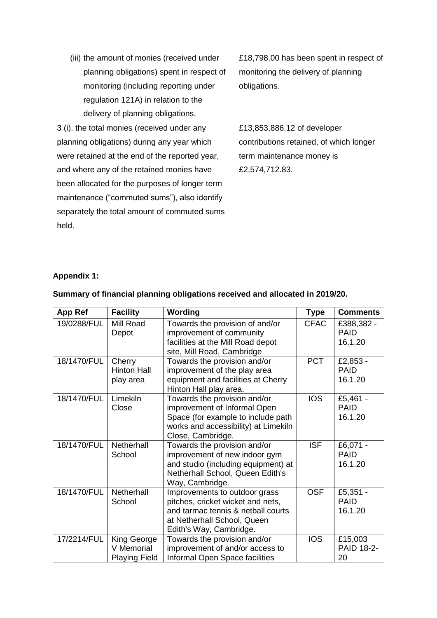| (iii) the amount of monies (received under     | £18,798.00 has been spent in respect of |
|------------------------------------------------|-----------------------------------------|
| planning obligations) spent in respect of      | monitoring the delivery of planning     |
| monitoring (including reporting under          | obligations.                            |
| regulation 121A) in relation to the            |                                         |
| delivery of planning obligations.              |                                         |
| 3 (i). the total monies (received under any    | £13,853,886.12 of developer             |
| planning obligations) during any year which    | contributions retained, of which longer |
| were retained at the end of the reported year, | term maintenance money is               |
| and where any of the retained monies have      | £2,574,712.83.                          |
| been allocated for the purposes of longer term |                                         |
| maintenance ("commuted sums"), also identify   |                                         |
| separately the total amount of commuted sums   |                                         |
| held.                                          |                                         |

#### **Appendix 1:**

#### **Summary of financial planning obligations received and allocated in 2019/20.**

| <b>App Ref</b> | <b>Facility</b>                                   | Wording                                                                                                                                                            | <b>Type</b> | <b>Comments</b>                      |
|----------------|---------------------------------------------------|--------------------------------------------------------------------------------------------------------------------------------------------------------------------|-------------|--------------------------------------|
| 19/0288/FUL    | Mill Road<br>Depot                                | Towards the provision of and/or<br>improvement of community<br>facilities at the Mill Road depot<br>site, Mill Road, Cambridge                                     | <b>CFAC</b> | £388,382 -<br><b>PAID</b><br>16.1.20 |
| 18/1470/FUL    | Cherry<br><b>Hinton Hall</b><br>play area         | Towards the provision and/or<br>improvement of the play area<br>equipment and facilities at Cherry<br>Hinton Hall play area.                                       | <b>PCT</b>  | £2,853 -<br><b>PAID</b><br>16.1.20   |
| 18/1470/FUL    | Limekiln<br>Close                                 | Towards the provision and/or<br>improvement of Informal Open<br>Space (for example to include path<br>works and accessibility) at Limekiln<br>Close, Cambridge.    | <b>IOS</b>  | £5,461 -<br><b>PAID</b><br>16.1.20   |
| 18/1470/FUL    | Netherhall<br>School                              | Towards the provision and/or<br>improvement of new indoor gym<br>and studio (including equipment) at<br>Netherhall School, Queen Edith's<br>Way, Cambridge.        | <b>ISF</b>  | £6,071 -<br><b>PAID</b><br>16.1.20   |
| 18/1470/FUL    | Netherhall<br>School                              | Improvements to outdoor grass<br>pitches, cricket wicket and nets,<br>and tarmac tennis & netball courts<br>at Netherhall School, Queen<br>Edith's Way, Cambridge. | <b>OSF</b>  | £5,351 -<br><b>PAID</b><br>16.1.20   |
| 17/2214/FUL    | King George<br>V Memorial<br><b>Playing Field</b> | Towards the provision and/or<br>improvement of and/or access to<br>Informal Open Space facilities                                                                  | <b>IOS</b>  | £15,003<br><b>PAID 18-2-</b><br>20   |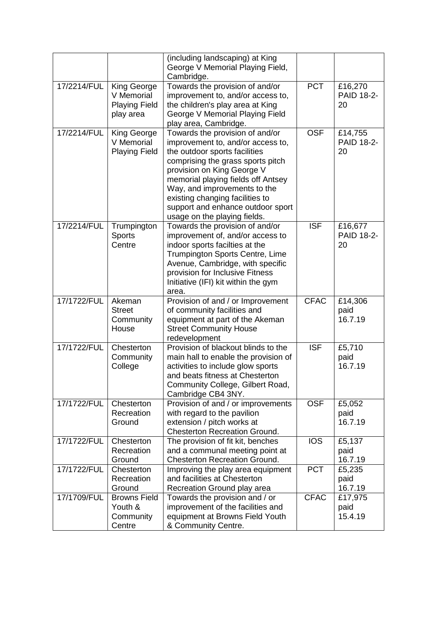|             |                                                                       | (including landscaping) at King<br>George V Memorial Playing Field,<br>Cambridge.                                                                                                                                                                                                                                                                      |                         |                                    |
|-------------|-----------------------------------------------------------------------|--------------------------------------------------------------------------------------------------------------------------------------------------------------------------------------------------------------------------------------------------------------------------------------------------------------------------------------------------------|-------------------------|------------------------------------|
| 17/2214/FUL | <b>King George</b><br>V Memorial<br><b>Playing Field</b><br>play area | Towards the provision of and/or<br>improvement to, and/or access to,<br>the children's play area at King<br>George V Memorial Playing Field<br>play area, Cambridge.                                                                                                                                                                                   | <b>PCT</b>              | £16,270<br><b>PAID 18-2-</b><br>20 |
| 17/2214/FUL | King George<br>V Memorial<br><b>Playing Field</b>                     | Towards the provision of and/or<br>improvement to, and/or access to,<br>the outdoor sports facilities<br>comprising the grass sports pitch<br>provision on King George V<br>memorial playing fields off Antsey<br>Way, and improvements to the<br>existing changing facilities to<br>support and enhance outdoor sport<br>usage on the playing fields. | <b>OSF</b>              | £14,755<br><b>PAID 18-2-</b><br>20 |
| 17/2214/FUL | Trumpington<br><b>Sports</b><br>Centre                                | Towards the provision of and/or<br>improvement of, and/or access to<br>indoor sports facilties at the<br>Trumpington Sports Centre, Lime<br>Avenue, Cambridge, with specific<br>provision for Inclusive Fitness<br>Initiative (IFI) kit within the gym<br>area.                                                                                        | $\overline{\text{ISF}}$ | £16,677<br><b>PAID 18-2-</b><br>20 |
| 17/1722/FUL | Akeman<br><b>Street</b><br>Community<br>House                         | Provision of and / or Improvement<br>of community facilities and<br>equipment at part of the Akeman<br><b>Street Community House</b><br>redevelopment                                                                                                                                                                                                  | <b>CFAC</b>             | £14,306<br>paid<br>16.7.19         |
| 17/1722/FUL | Chesterton<br>Community<br>College                                    | Provision of blackout blinds to the<br>main hall to enable the provision of<br>activities to include glow sports<br>and beats fitness at Chesterton<br>Community College, Gilbert Road,<br>Cambridge CB4 3NY.                                                                                                                                          | <b>ISF</b>              | £5,710<br>paid<br>16.7.19          |
| 17/1722/FUL | Chesterton<br>Recreation<br>Ground                                    | Provision of and / or improvements<br>with regard to the pavilion<br>extension / pitch works at<br><b>Chesterton Recreation Ground.</b>                                                                                                                                                                                                                | <b>OSF</b>              | £5,052<br>paid<br>16.7.19          |
| 17/1722/FUL | Chesterton<br>Recreation<br>Ground                                    | The provision of fit kit, benches<br>and a communal meeting point at<br><b>Chesterton Recreation Ground.</b>                                                                                                                                                                                                                                           | <b>IOS</b>              | £5,137<br>paid<br>16.7.19          |
| 17/1722/FUL | Chesterton<br>Recreation<br>Ground                                    | Improving the play area equipment<br>and facilities at Chesterton<br>Recreation Ground play area                                                                                                                                                                                                                                                       | <b>PCT</b>              | £5,235<br>paid<br>16.7.19          |
| 17/1709/FUL | <b>Browns Field</b><br>Youth &<br>Community<br>Centre                 | Towards the provision and / or<br>improvement of the facilities and<br>equipment at Browns Field Youth<br>& Community Centre.                                                                                                                                                                                                                          | <b>CFAC</b>             | £17,975<br>paid<br>15.4.19         |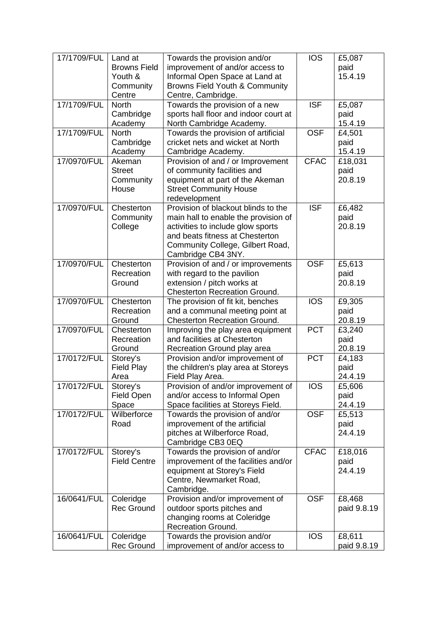| 17/1709/FUL | Land at             | Towards the provision and/or          | <b>IOS</b>  | £5,087      |
|-------------|---------------------|---------------------------------------|-------------|-------------|
|             | <b>Browns Field</b> |                                       |             |             |
|             |                     | improvement of and/or access to       |             | paid        |
|             | Youth &             | Informal Open Space at Land at        |             | 15.4.19     |
|             | Community           | Browns Field Youth & Community        |             |             |
|             | Centre              | Centre, Cambridge.                    |             |             |
| 17/1709/FUL | <b>North</b>        | Towards the provision of a new        | <b>ISF</b>  | £5,087      |
|             | Cambridge           | sports hall floor and indoor court at |             | paid        |
|             | Academy             | North Cambridge Academy.              |             | 15.4.19     |
| 17/1709/FUL | <b>North</b>        | Towards the provision of artificial   | <b>OSF</b>  | £4,501      |
|             | Cambridge           | cricket nets and wicket at North      |             | paid        |
|             | Academy             | Cambridge Academy.                    |             | 15.4.19     |
| 17/0970/FUL | Akeman              | Provision of and / or Improvement     | <b>CFAC</b> | £18,031     |
|             | <b>Street</b>       | of community facilities and           |             | paid        |
|             | Community           | equipment at part of the Akeman       |             | 20.8.19     |
|             | House               | <b>Street Community House</b>         |             |             |
|             |                     |                                       |             |             |
|             |                     | redevelopment                         | <b>ISF</b>  |             |
| 17/0970/FUL | Chesterton          | Provision of blackout blinds to the   |             | £6,482      |
|             | Community           | main hall to enable the provision of  |             | paid        |
|             | College             | activities to include glow sports     |             | 20.8.19     |
|             |                     | and beats fitness at Chesterton       |             |             |
|             |                     | Community College, Gilbert Road,      |             |             |
|             |                     | Cambridge CB4 3NY.                    |             |             |
| 17/0970/FUL | Chesterton          | Provision of and / or improvements    | <b>OSF</b>  | £5,613      |
|             | Recreation          | with regard to the pavilion           |             | paid        |
|             | Ground              | extension / pitch works at            |             | 20.8.19     |
|             |                     | Chesterton Recreation Ground.         |             |             |
| 17/0970/FUL | Chesterton          | The provision of fit kit, benches     | <b>IOS</b>  | £9,305      |
|             | Recreation          | and a communal meeting point at       |             | paid        |
|             | Ground              | <b>Chesterton Recreation Ground.</b>  |             | 20.8.19     |
| 17/0970/FUL | Chesterton          | Improving the play area equipment     | <b>PCT</b>  | £3,240      |
|             | Recreation          | and facilities at Chesterton          |             | paid        |
|             | Ground              | Recreation Ground play area           |             | 20.8.19     |
| 17/0172/FUL | Storey's            | Provision and/or improvement of       | <b>PCT</b>  | £4,183      |
|             | <b>Field Play</b>   | the children's play area at Storeys   |             | paid        |
|             |                     |                                       |             |             |
|             | Area                | Field Play Area.                      |             | 24.4.19     |
| 17/0172/FUL | Storey's            | Provision of and/or improvement of    | <b>IOS</b>  | £5,606      |
|             | <b>Field Open</b>   | and/or access to Informal Open        |             | paid        |
|             | Space               | Space facilities at Storeys Field.    |             | 24.4.19     |
| 17/0172/FUL | Wilberforce         | Towards the provision of and/or       | <b>OSF</b>  | £5,513      |
|             | Road                | improvement of the artificial         |             | paid        |
|             |                     | pitches at Wilberforce Road,          |             | 24.4.19     |
|             |                     | Cambridge CB3 0EQ                     |             |             |
| 17/0172/FUL | Storey's            | Towards the provision of and/or       | <b>CFAC</b> | £18,016     |
|             | <b>Field Centre</b> | improvement of the facilities and/or  |             | paid        |
|             |                     | equipment at Storey's Field           |             | 24.4.19     |
|             |                     | Centre, Newmarket Road,               |             |             |
|             |                     | Cambridge.                            |             |             |
| 16/0641/FUL | Coleridge           | Provision and/or improvement of       | <b>OSF</b>  | £8,468      |
|             | <b>Rec Ground</b>   | outdoor sports pitches and            |             | paid 9.8.19 |
|             |                     | changing rooms at Coleridge           |             |             |
|             |                     | <b>Recreation Ground.</b>             |             |             |
| 16/0641/FUL | Coleridge           | Towards the provision and/or          | <b>IOS</b>  | £8,611      |
|             | <b>Rec Ground</b>   | improvement of and/or access to       |             | paid 9.8.19 |
|             |                     |                                       |             |             |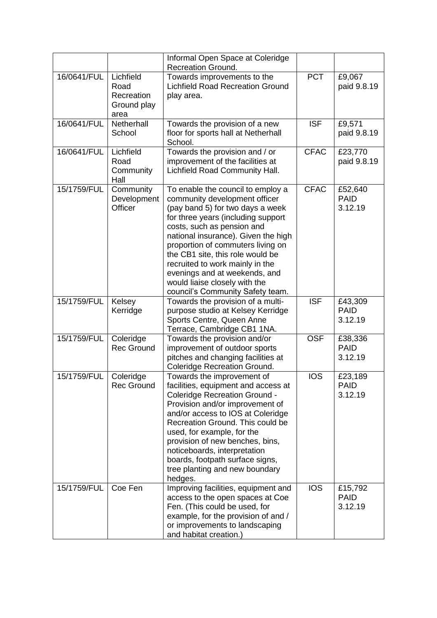|             |                                                        | Informal Open Space at Coleridge<br><b>Recreation Ground.</b>                                                                                                                                                                                                                                                                                                                                                                       |             |                                   |
|-------------|--------------------------------------------------------|-------------------------------------------------------------------------------------------------------------------------------------------------------------------------------------------------------------------------------------------------------------------------------------------------------------------------------------------------------------------------------------------------------------------------------------|-------------|-----------------------------------|
| 16/0641/FUL | Lichfield<br>Road<br>Recreation<br>Ground play<br>area | Towards improvements to the<br><b>Lichfield Road Recreation Ground</b><br>play area.                                                                                                                                                                                                                                                                                                                                                | <b>PCT</b>  | £9,067<br>paid 9.8.19             |
| 16/0641/FUL | Netherhall<br>School                                   | Towards the provision of a new<br>floor for sports hall at Netherhall<br>School.                                                                                                                                                                                                                                                                                                                                                    | <b>ISF</b>  | £9,571<br>paid 9.8.19             |
| 16/0641/FUL | Lichfield<br>Road<br>Community<br>Hall                 | Towards the provision and / or<br>improvement of the facilities at<br>Lichfield Road Community Hall.                                                                                                                                                                                                                                                                                                                                | <b>CFAC</b> | £23,770<br>paid 9.8.19            |
| 15/1759/FUL | Community<br>Development<br>Officer                    | To enable the council to employ a<br>community development officer<br>(pay band 5) for two days a week<br>for three years (including support<br>costs, such as pension and<br>national insurance). Given the high<br>proportion of commuters living on<br>the CB1 site, this role would be<br>recruited to work mainly in the<br>evenings and at weekends, and<br>would liaise closely with the<br>council's Community Safety team. | <b>CFAC</b> | £52,640<br><b>PAID</b><br>3.12.19 |
| 15/1759/FUL | Kelsey<br>Kerridge                                     | Towards the provision of a multi-<br>purpose studio at Kelsey Kerridge<br>Sports Centre, Queen Anne<br>Terrace, Cambridge CB1 1NA.                                                                                                                                                                                                                                                                                                  | <b>ISF</b>  | £43,309<br><b>PAID</b><br>3.12.19 |
| 15/1759/FUL | Coleridge<br><b>Rec Ground</b>                         | Towards the provision and/or<br>improvement of outdoor sports<br>pitches and changing facilities at<br>Coleridge Recreation Ground.                                                                                                                                                                                                                                                                                                 | <b>OSF</b>  | £38,336<br><b>PAID</b><br>3.12.19 |
| 15/1759/FUL | Coleridge<br><b>Rec Ground</b>                         | Towards the improvement of<br>facilities, equipment and access at<br><b>Coleridge Recreation Ground -</b><br>Provision and/or improvement of<br>and/or access to IOS at Coleridge<br>Recreation Ground. This could be<br>used, for example, for the<br>provision of new benches, bins,<br>noticeboards, interpretation<br>boards, footpath surface signs,<br>tree planting and new boundary<br>hedges.                              | <b>IOS</b>  | £23,189<br><b>PAID</b><br>3.12.19 |
| 15/1759/FUL | Coe Fen                                                | Improving facilities, equipment and<br>access to the open spaces at Coe<br>Fen. (This could be used, for<br>example, for the provision of and /<br>or improvements to landscaping<br>and habitat creation.)                                                                                                                                                                                                                         | <b>IOS</b>  | £15,792<br><b>PAID</b><br>3.12.19 |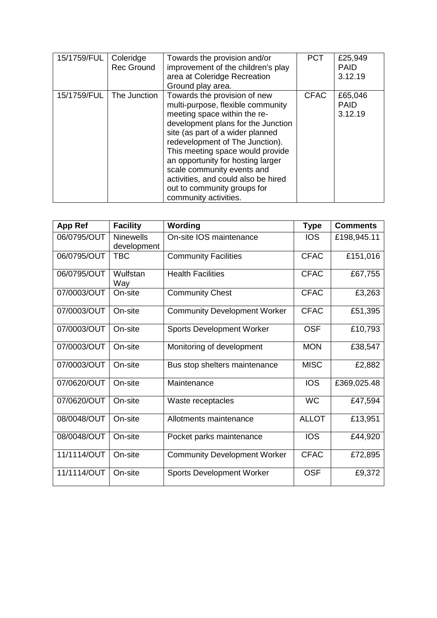| 15/1759/FUL | Coleridge<br><b>Rec Ground</b> | Towards the provision and/or<br>improvement of the children's play<br>area at Coleridge Recreation<br>Ground play area.                                                                                                                                                                                                                                                                                              | <b>PCT</b>  | £25,949<br><b>PAID</b><br>3.12.19 |
|-------------|--------------------------------|----------------------------------------------------------------------------------------------------------------------------------------------------------------------------------------------------------------------------------------------------------------------------------------------------------------------------------------------------------------------------------------------------------------------|-------------|-----------------------------------|
| 15/1759/FUL | The Junction                   | Towards the provision of new<br>multi-purpose, flexible community<br>meeting space within the re-<br>development plans for the Junction<br>site (as part of a wider planned<br>redevelopment of The Junction).<br>This meeting space would provide<br>an opportunity for hosting larger<br>scale community events and<br>activities, and could also be hired<br>out to community groups for<br>community activities. | <b>CFAC</b> | £65,046<br><b>PAID</b><br>3.12.19 |

| <b>App Ref</b> | <b>Facility</b>                 | Wording                             | <b>Type</b>  | <b>Comments</b> |
|----------------|---------------------------------|-------------------------------------|--------------|-----------------|
| 06/0795/OUT    | <b>Ninewells</b><br>development | On-site IOS maintenance             | <b>IOS</b>   | £198,945.11     |
| 06/0795/OUT    | <b>TBC</b>                      | <b>Community Facilities</b>         | <b>CFAC</b>  | £151,016        |
| 06/0795/OUT    | Wulfstan<br>Way                 | <b>Health Facilities</b>            | <b>CFAC</b>  | £67,755         |
| 07/0003/OUT    | On-site                         | <b>Community Chest</b>              | <b>CFAC</b>  | £3,263          |
| 07/0003/OUT    | On-site                         | <b>Community Development Worker</b> | <b>CFAC</b>  | £51,395         |
| 07/0003/OUT    | On-site                         | <b>Sports Development Worker</b>    | <b>OSF</b>   | £10,793         |
| 07/0003/OUT    | On-site                         | Monitoring of development           | <b>MON</b>   | £38,547         |
| 07/0003/OUT    | On-site                         | Bus stop shelters maintenance       | <b>MISC</b>  | £2,882          |
| 07/0620/OUT    | On-site                         | Maintenance                         | <b>IOS</b>   | £369,025.48     |
| 07/0620/OUT    | On-site                         | Waste receptacles                   | <b>WC</b>    | £47,594         |
| 08/0048/OUT    | On-site                         | Allotments maintenance              | <b>ALLOT</b> | £13,951         |
| 08/0048/OUT    | On-site                         | Pocket parks maintenance            | <b>IOS</b>   | £44,920         |
| 11/1114/OUT    | On-site                         | <b>Community Development Worker</b> | <b>CFAC</b>  | £72,895         |
| 11/1114/OUT    | On-site                         | <b>Sports Development Worker</b>    | <b>OSF</b>   | £9,372          |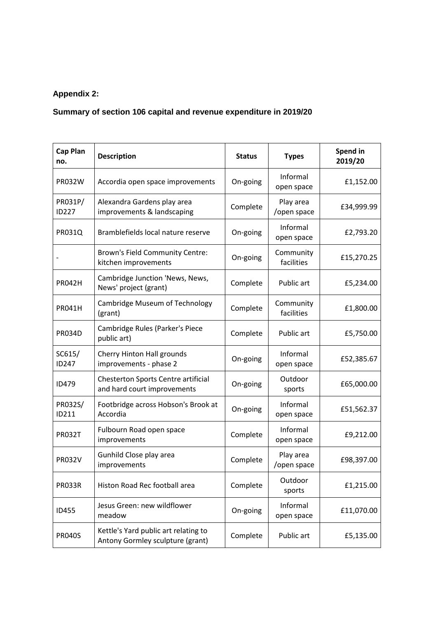#### **Appendix 2:**

### **Summary of section 106 capital and revenue expenditure in 2019/20**

| <b>Cap Plan</b><br>no.  | <b>Description</b>                                                       | <b>Status</b> | <b>Types</b>             | Spend in<br>2019/20 |
|-------------------------|--------------------------------------------------------------------------|---------------|--------------------------|---------------------|
| <b>PR032W</b>           | Accordia open space improvements                                         | On-going      | Informal<br>open space   | £1,152.00           |
| PR031P/<br><b>ID227</b> | Alexandra Gardens play area<br>improvements & landscaping                | Complete      | Play area<br>/open space | £34,999.99          |
| <b>PR031Q</b>           | Bramblefields local nature reserve                                       | On-going      | Informal<br>open space   | £2,793.20           |
|                         | Brown's Field Community Centre:<br>kitchen improvements                  | On-going      | Community<br>facilities  | £15,270.25          |
| <b>PR042H</b>           | Cambridge Junction 'News, News,<br>News' project (grant)                 | Complete      | Public art               | £5,234.00           |
| <b>PR041H</b>           | Cambridge Museum of Technology<br>(grant)                                | Complete      | Community<br>facilities  | £1,800.00           |
| <b>PR034D</b>           | Cambridge Rules (Parker's Piece<br>public art)                           | Complete      | Public art               | £5,750.00           |
| SC615/<br>ID247         | Cherry Hinton Hall grounds<br>improvements - phase 2                     | On-going      | Informal<br>open space   | £52,385.67          |
| <b>ID479</b>            | Chesterton Sports Centre artificial<br>and hard court improvements       | On-going      | Outdoor<br>sports        | £65,000.00          |
| PR032S/<br>ID211        | Footbridge across Hobson's Brook at<br>Accordia                          | On-going      | Informal<br>open space   | £51,562.37          |
| <b>PR032T</b>           | Fulbourn Road open space<br>improvements                                 | Complete      | Informal<br>open space   | £9,212.00           |
| <b>PR032V</b>           | Gunhild Close play area<br>improvements                                  | Complete      | Play area<br>/open space | £98,397.00          |
| <b>PR033R</b>           | Histon Road Rec football area                                            | Complete      | Outdoor<br>sports        | £1,215.00           |
| <b>ID455</b>            | Jesus Green: new wildflower<br>meadow                                    | On-going      | Informal<br>open space   | £11,070.00          |
| <b>PR040S</b>           | Kettle's Yard public art relating to<br>Antony Gormley sculpture (grant) | Complete      | Public art               | £5,135.00           |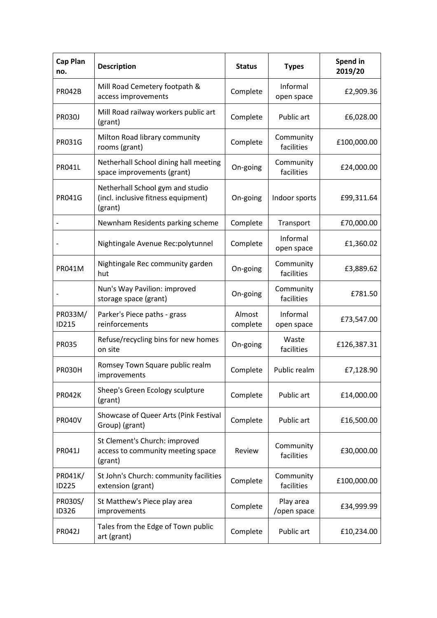| <b>Cap Plan</b><br>no.  | <b>Description</b>                                                                 | <b>Status</b>      | <b>Types</b>             | Spend in<br>2019/20 |
|-------------------------|------------------------------------------------------------------------------------|--------------------|--------------------------|---------------------|
| <b>PR042B</b>           | Mill Road Cemetery footpath &<br>access improvements                               | Complete           | Informal<br>open space   | £2,909.36           |
| <b>PR030J</b>           | Mill Road railway workers public art<br>(grant)                                    | Complete           | Public art               | £6,028.00           |
| <b>PR031G</b>           | Milton Road library community<br>rooms (grant)                                     | Complete           | Community<br>facilities  | £100,000.00         |
| <b>PR041L</b>           | Netherhall School dining hall meeting<br>space improvements (grant)                | On-going           | Community<br>facilities  | £24,000.00          |
| <b>PR041G</b>           | Netherhall School gym and studio<br>(incl. inclusive fitness equipment)<br>(grant) | On-going           | Indoor sports            | £99,311.64          |
|                         | Newnham Residents parking scheme                                                   | Complete           | Transport                | £70,000.00          |
|                         | Nightingale Avenue Rec:polytunnel                                                  | Complete           | Informal<br>open space   | £1,360.02           |
| <b>PR041M</b>           | Nightingale Rec community garden<br>hut                                            | On-going           | Community<br>facilities  | £3,889.62           |
|                         | Nun's Way Pavilion: improved<br>storage space (grant)                              | On-going           | Community<br>facilities  | £781.50             |
| PR033M/<br>ID215        | Parker's Piece paths - grass<br>reinforcements                                     | Almost<br>complete | Informal<br>open space   | £73,547.00          |
| <b>PR035</b>            | Refuse/recycling bins for new homes<br>on site                                     | On-going           | Waste<br>facilities      | £126,387.31         |
| <b>PR030H</b>           | Romsey Town Square public realm<br>improvements                                    | Complete           | Public realm             | £7,128.90           |
| <b>PR042K</b>           | Sheep's Green Ecology sculpture<br>(grant)                                         | Complete           | Public art               | £14,000.00          |
| <b>PR040V</b>           | Showcase of Queer Arts (Pink Festival<br>Group) (grant)                            | Complete           | Public art               | £16,500.00          |
| <b>PR041J</b>           | St Clement's Church: improved<br>access to community meeting space<br>(grant)      | Review             | Community<br>facilities  | £30,000.00          |
| PR041K/<br><b>ID225</b> | St John's Church: community facilities<br>extension (grant)                        | Complete           | Community<br>facilities  | £100,000.00         |
| PR030S/<br><b>ID326</b> | St Matthew's Piece play area<br>improvements                                       | Complete           | Play area<br>/open space | £34,999.99          |
| <b>PR042J</b>           | Tales from the Edge of Town public<br>art (grant)                                  | Complete           | Public art               | £10,234.00          |